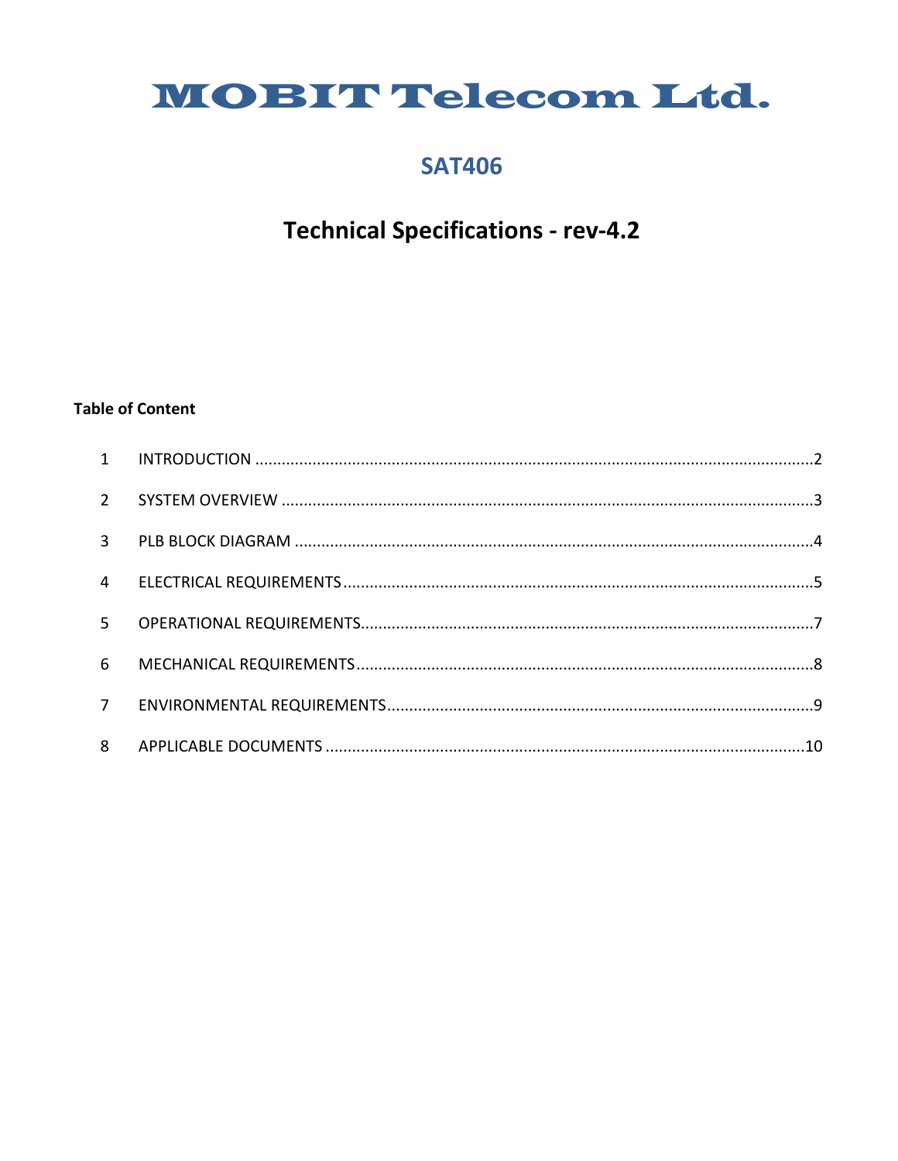# MOBIT Telecom Ltd.

### **SAT406**

# **Technical Specifications - rev-4.2**

#### **Table of Content**

| $2^{\circ}$    |  |
|----------------|--|
|                |  |
| $\overline{3}$ |  |
| $\overline{4}$ |  |
| 5 <sup>1</sup> |  |
| 6              |  |
| 7 <sup>7</sup> |  |
| 8              |  |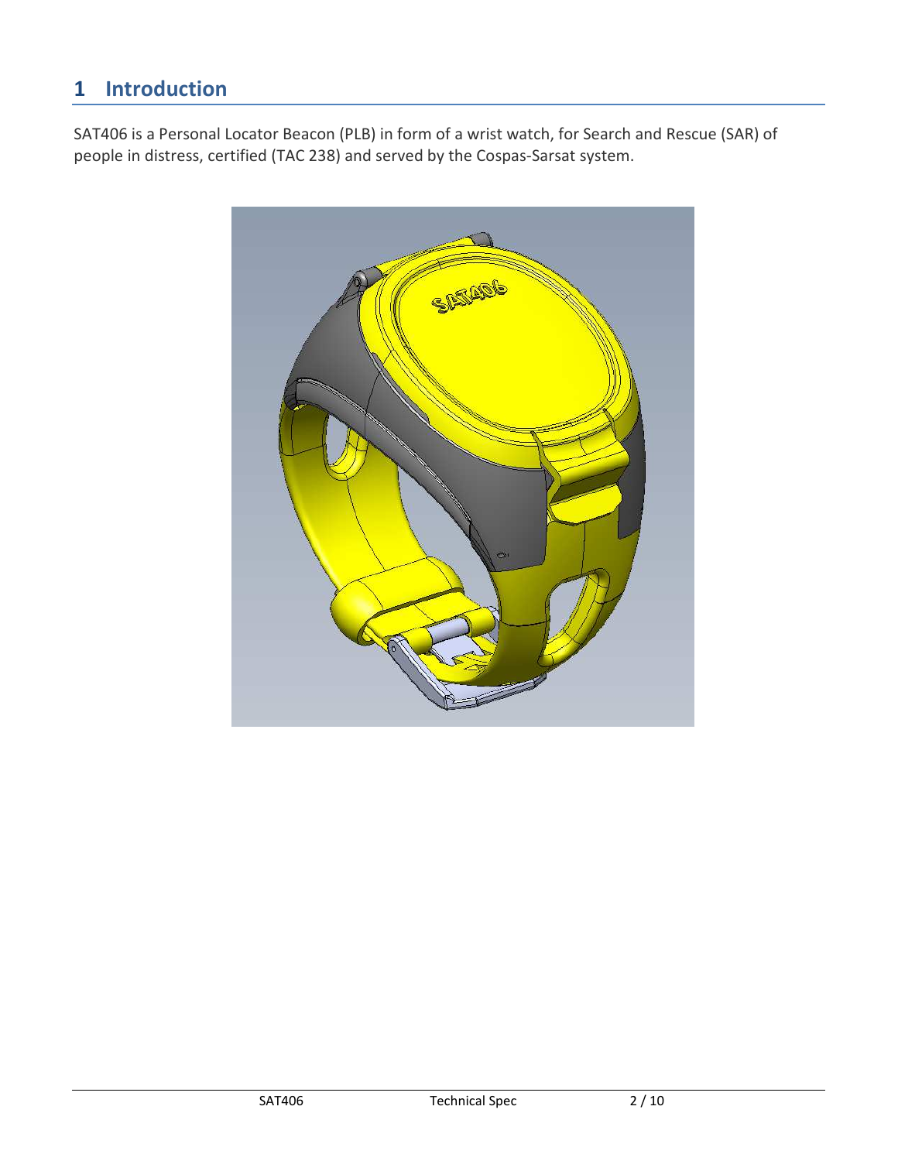## **1 Introduction**

SAT406 is a Personal Locator Beacon (PLB) in form of a wrist watch, for Search and Rescue (SAR) of people in distress, certified (TAC 238) and served by the Cospas-Sarsat system.

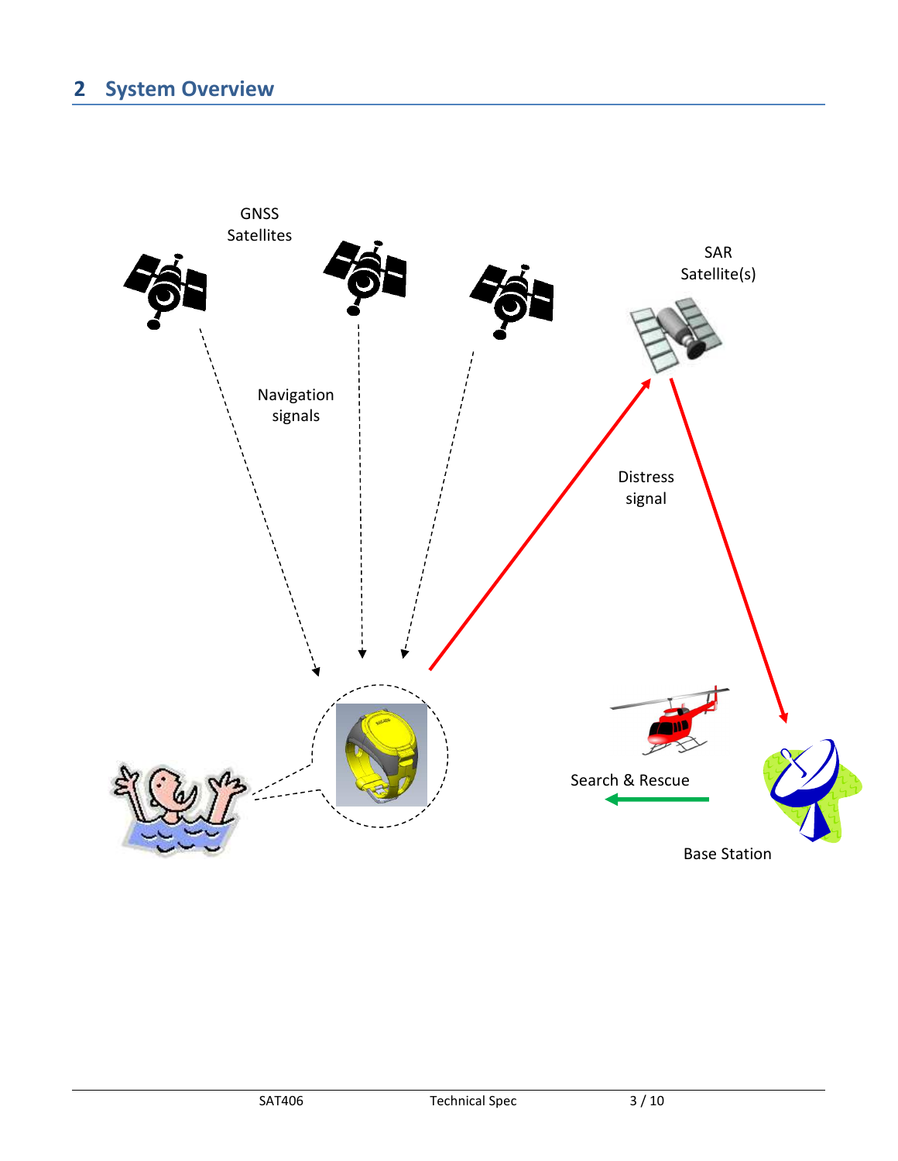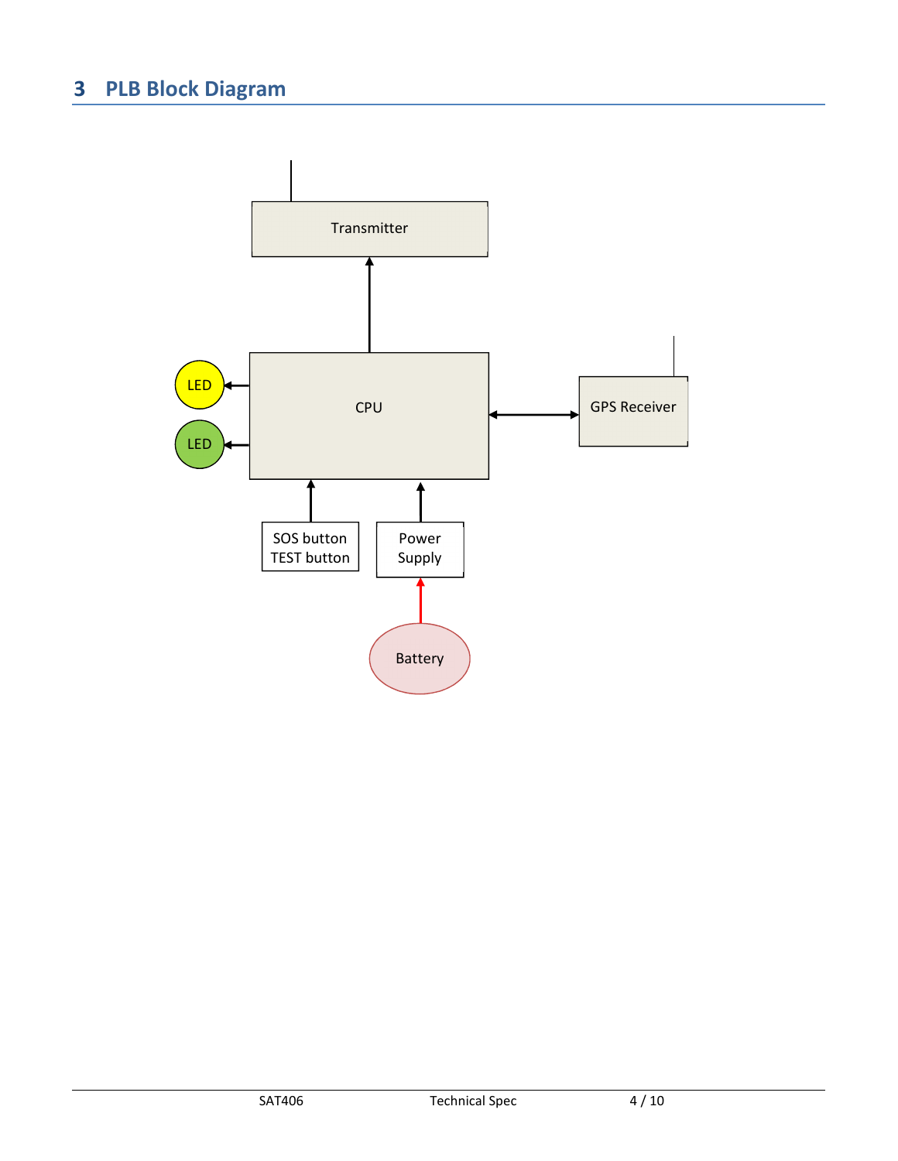# **3 PLB Block Diagram**

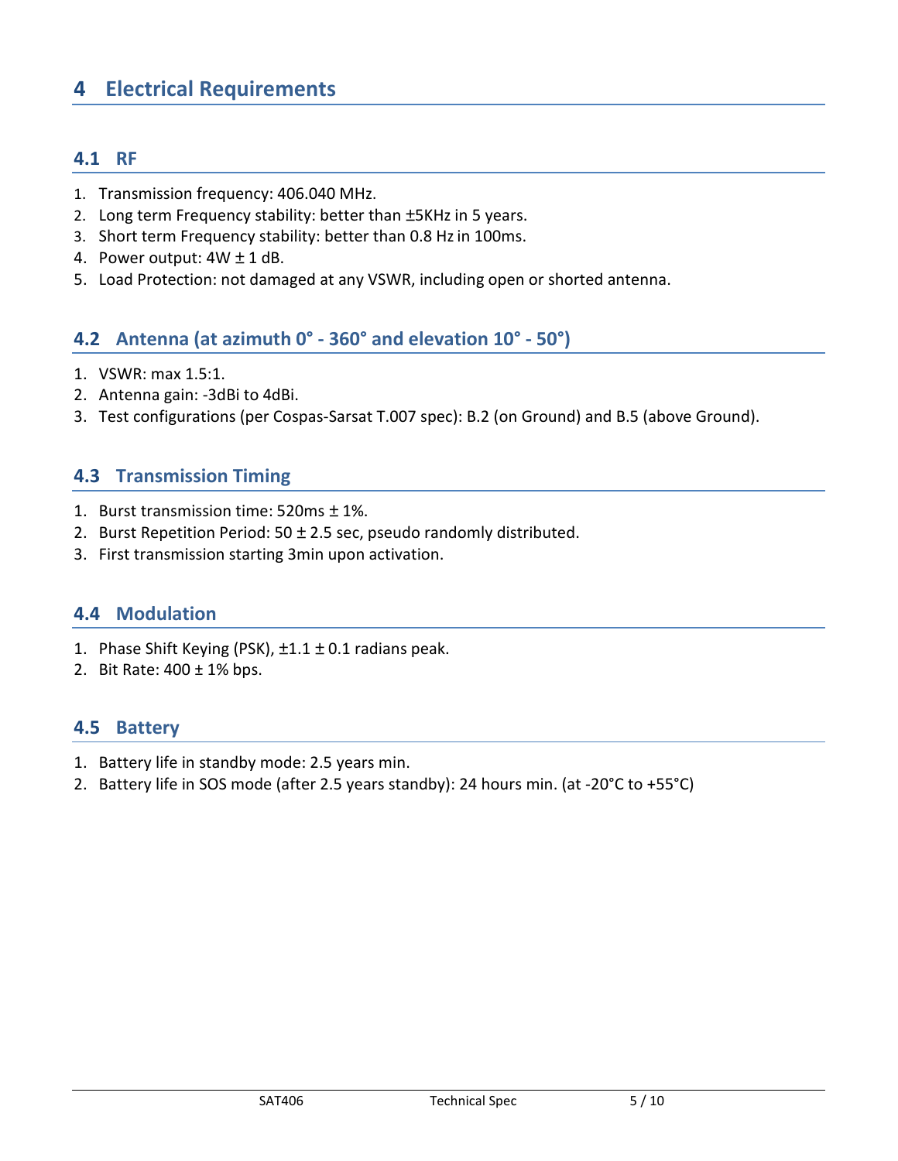### **4 Electrical Requirements**

### **4.1 RF**

- 1. Transmission frequency: 406.040 MHz.
- 2. Long term Frequency stability: better than ±5KHz in 5 years.
- 3. Short term Frequency stability: better than 0.8 Hz in 100ms.
- 4. Power output: 4W ± 1 dB.
- 5. Load Protection: not damaged at any VSWR, including open or shorted antenna.

### **4.2 Antenna (at azimuth 0° - 360° and elevation 10° - 50°)**

- 1. VSWR: max 1.5:1.
- 2. Antenna gain: -3dBi to 4dBi.
- 3. Test configurations (per Cospas-Sarsat T.007 spec): B.2 (on Ground) and B.5 (above Ground).

#### **4.3 Transmission Timing**

- 1. Burst transmission time: 520ms ± 1%.
- 2. Burst Repetition Period:  $50 \pm 2.5$  sec, pseudo randomly distributed.
- 3. First transmission starting 3min upon activation.

### **4.4 Modulation**

- 1. Phase Shift Keying (PSK),  $\pm 1.1 \pm 0.1$  radians peak.
- 2. Bit Rate: 400 ± 1% bps.

#### **4.5 Battery**

- 1. Battery life in standby mode: 2.5 years min.
- 2. Battery life in SOS mode (after 2.5 years standby): 24 hours min. (at -20°C to +55°C)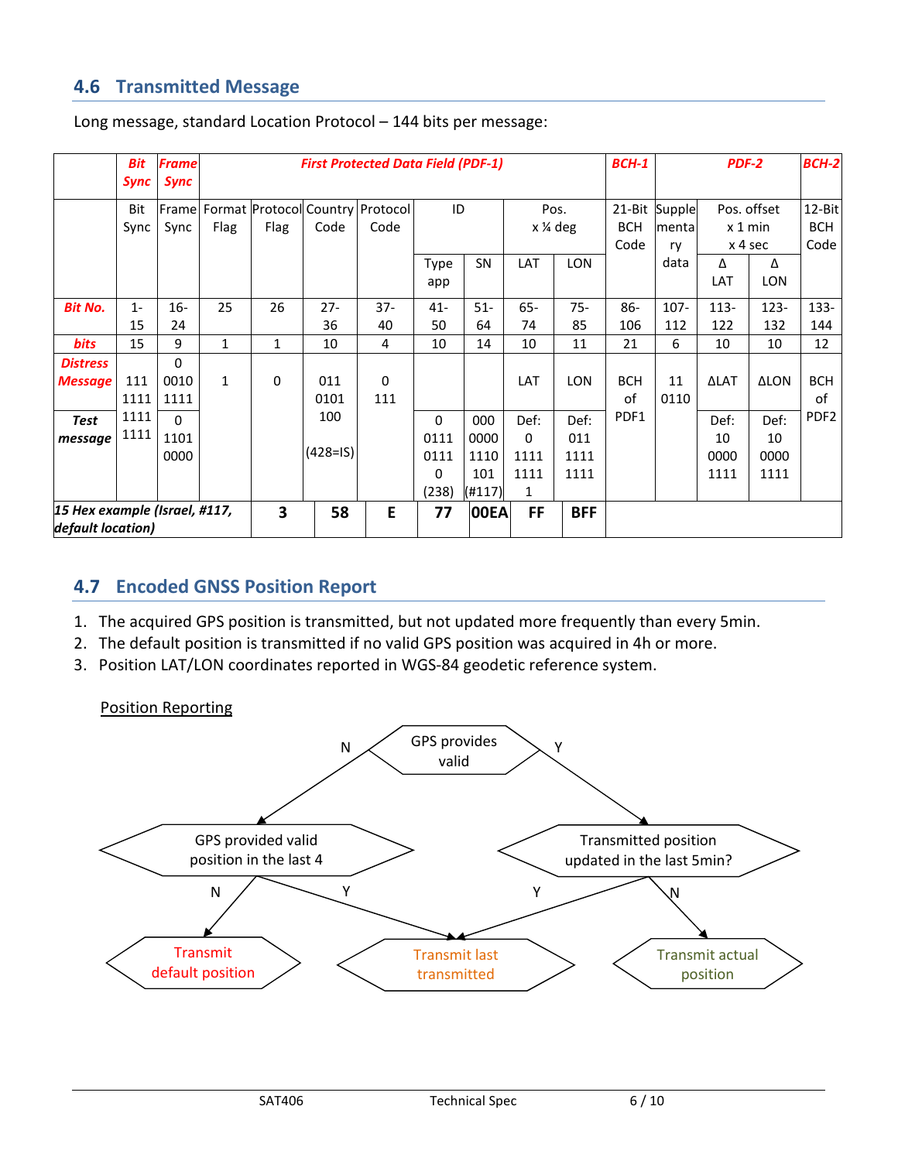### **4.6 Transmitted Message**

|                                                    | <b>Bit</b><br>Sync | <b>Frame</b><br><b>Sync</b> | <b>First Protected Data Field (PDF-1)</b> |              |                   |                                          |                                            |                                      |                                           |                             |                    | $BCH-1$<br>PDF-2              |                                   |                            | BCH-2                        |
|----------------------------------------------------|--------------------|-----------------------------|-------------------------------------------|--------------|-------------------|------------------------------------------|--------------------------------------------|--------------------------------------|-------------------------------------------|-----------------------------|--------------------|-------------------------------|-----------------------------------|----------------------------|------------------------------|
|                                                    | Bit<br>Sync        | Frame<br>Sync               | Flag                                      | Flag         | Code              | Format Protocol Country Protocol<br>Code | ID                                         |                                      | Pos.<br>x ¼ deg                           |                             | <b>BCH</b><br>Code | 21-Bit Supple<br>mental<br>ry | Pos. offset<br>x 1 min<br>x 4 sec |                            | 12-Bit<br><b>BCH</b><br>Code |
|                                                    |                    |                             |                                           |              |                   |                                          | Type<br>app                                | SN                                   | LAT                                       | <b>LON</b>                  |                    | data                          | Δ<br>LAT                          | Δ<br><b>LON</b>            |                              |
| <b>Bit No.</b>                                     | $1 -$<br>15        | $16 -$<br>24                | 25                                        | 26           | $27 -$<br>36      | $37 -$<br>40                             | $41 -$<br>50                               | $51-$<br>64                          | $65 -$<br>74                              | $75 -$<br>85                | $86-$<br>106       | $107 -$<br>112                | $113 -$<br>122                    | 123-<br>132                | $133 -$<br>144               |
| bits                                               | 15                 | 9                           | $\mathbf{1}$                              | $\mathbf{1}$ | 10                | 4                                        | 10                                         | 14                                   | 10                                        | 11                          | 21                 | 6                             | 10                                | 10                         | 12                           |
| <b>Distress</b><br><b>Message</b>                  | 111<br>1111        | 0<br>0010<br>1111           | $\mathbf{1}$                              | 0            | 011<br>0101       | 0<br>111                                 |                                            |                                      | LAT                                       | <b>LON</b>                  | <b>BCH</b><br>of   | 11<br>0110                    | <b>ALAT</b>                       | <b>ALON</b>                | <b>BCH</b><br>of             |
| Test<br>message                                    | 1111<br>1111       | $\Omega$<br>1101<br>0000    |                                           |              | 100<br>$(428=15)$ |                                          | $\mathbf{0}$<br>0111<br>0111<br>0<br>(238) | 000<br>0000<br>1110<br>101<br>(#117) | Def:<br>0<br>1111<br>1111<br>$\mathbf{1}$ | Def:<br>011<br>1111<br>1111 | PDF1               |                               | Def:<br>10<br>0000<br>1111        | Def:<br>10<br>0000<br>1111 | PDF <sub>2</sub>             |
| 15 Hex example (Israel, #117,<br>default location) |                    |                             | $\overline{\mathbf{3}}$                   | 58           | E                 | 77                                       | 00EA                                       | <b>FF</b>                            | <b>BFF</b>                                |                             |                    |                               |                                   |                            |                              |

Long message, standard Location Protocol – 144 bits per message:

### **4.7 Encoded GNSS Position Report**

- 1. The acquired GPS position is transmitted, but not updated more frequently than every 5min.
- 2. The default position is transmitted if no valid GPS position was acquired in 4h or more.
- 3. Position LAT/LON coordinates reported in WGS-84 geodetic reference system.

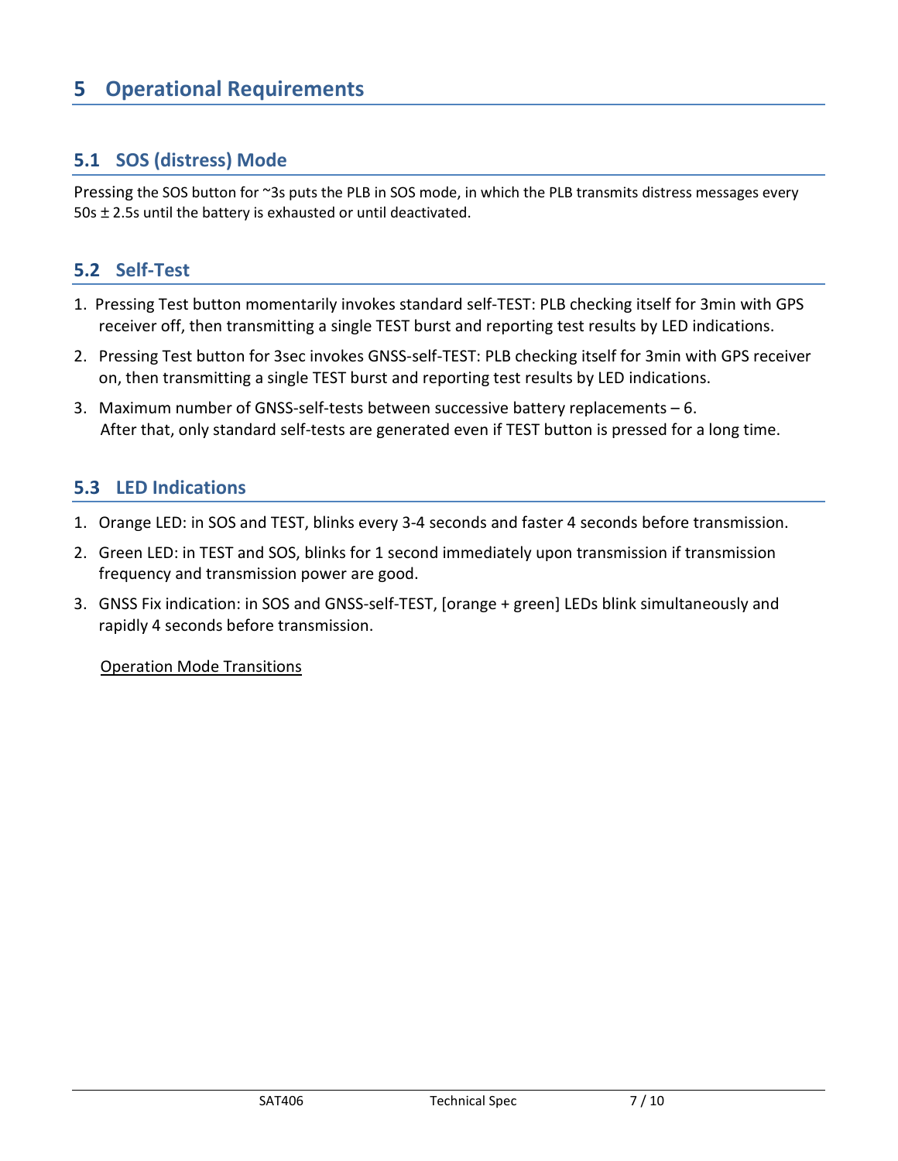### **5 Operational Requirements**

### **5.1 SOS (distress) Mode**

Pressing the SOS button for ~3s puts the PLB in SOS mode, in which the PLB transmits distress messages every 50s ± 2.5s until the battery is exhausted or until deactivated.

### **5.2 Self-Test**

- 1. Pressing Test button momentarily invokes standard self-TEST: PLB checking itself for 3min with GPS receiver off, then transmitting a single TEST burst and reporting test results by LED indications.
- 2. Pressing Test button for 3sec invokes GNSS-self-TEST: PLB checking itself for 3min with GPS receiver on, then transmitting a single TEST burst and reporting test results by LED indications.
- 3. Maximum number of GNSS-self-tests between successive battery replacements 6. After that, only standard self-tests are generated even if TEST button is pressed for a long time.

### **5.3 LED Indications**

- 1. Orange LED: in SOS and TEST, blinks every 3-4 seconds and faster 4 seconds before transmission.
- 2. Green LED: in TEST and SOS, blinks for 1 second immediately upon transmission if transmission frequency and transmission power are good.
- 3. GNSS Fix indication: in SOS and GNSS-self-TEST, [orange + green] LEDs blink simultaneously and rapidly 4 seconds before transmission.

#### Operation Mode Transitions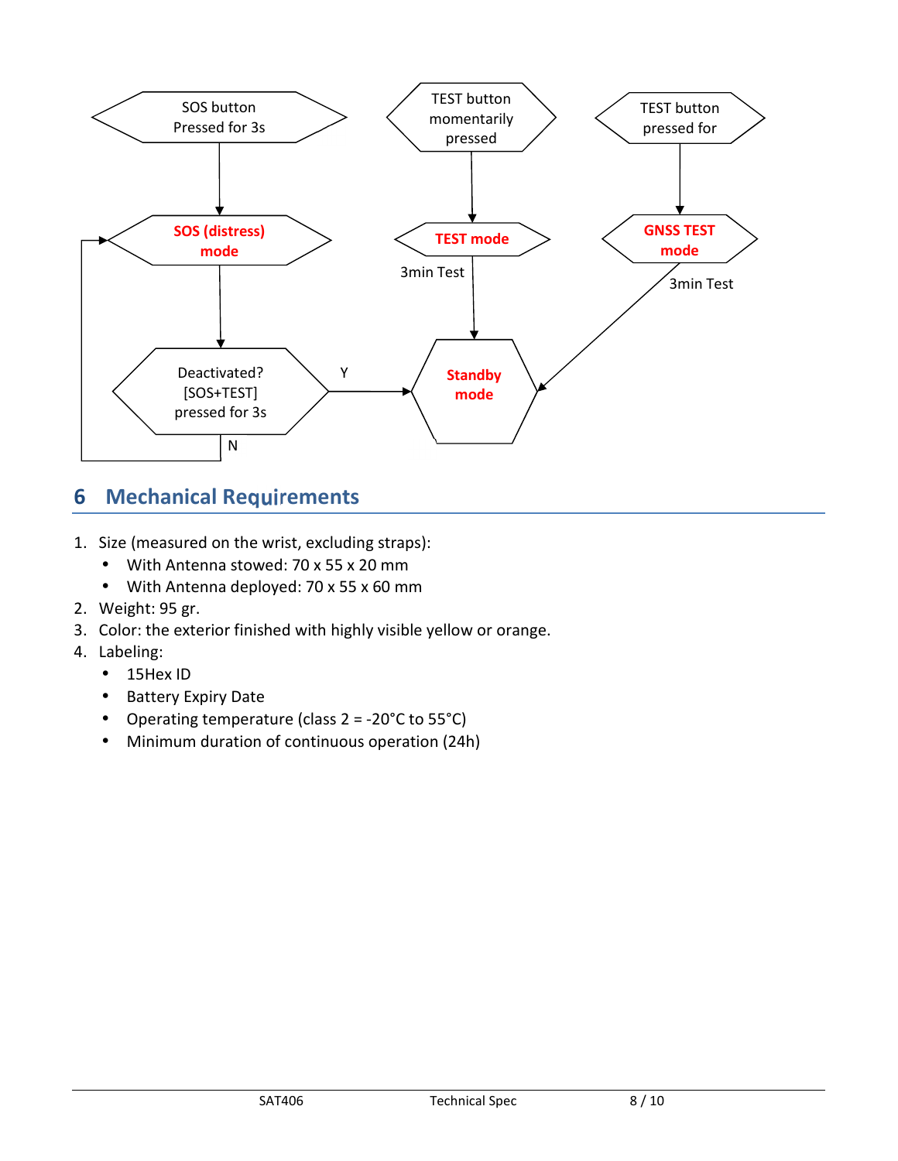

### **6 Mechanical Requirements**

- 1. Size (measured on the wrist, excluding straps):
	- With Antenna stowed: 70 x 55 x 20 mm
	- With Antenna deployed: 70 x 55 x 60 mm
- 2. Weight: 95 gr.
- 3. Color: the exterior finished with highly visible yellow or orange.
- 4. Labeling:
	- 15Hex ID
	- Battery Expiry Date
	- Operating temperature (class 2 = -20°C to 55°C)
	- Minimum duration of continuous operation (24h)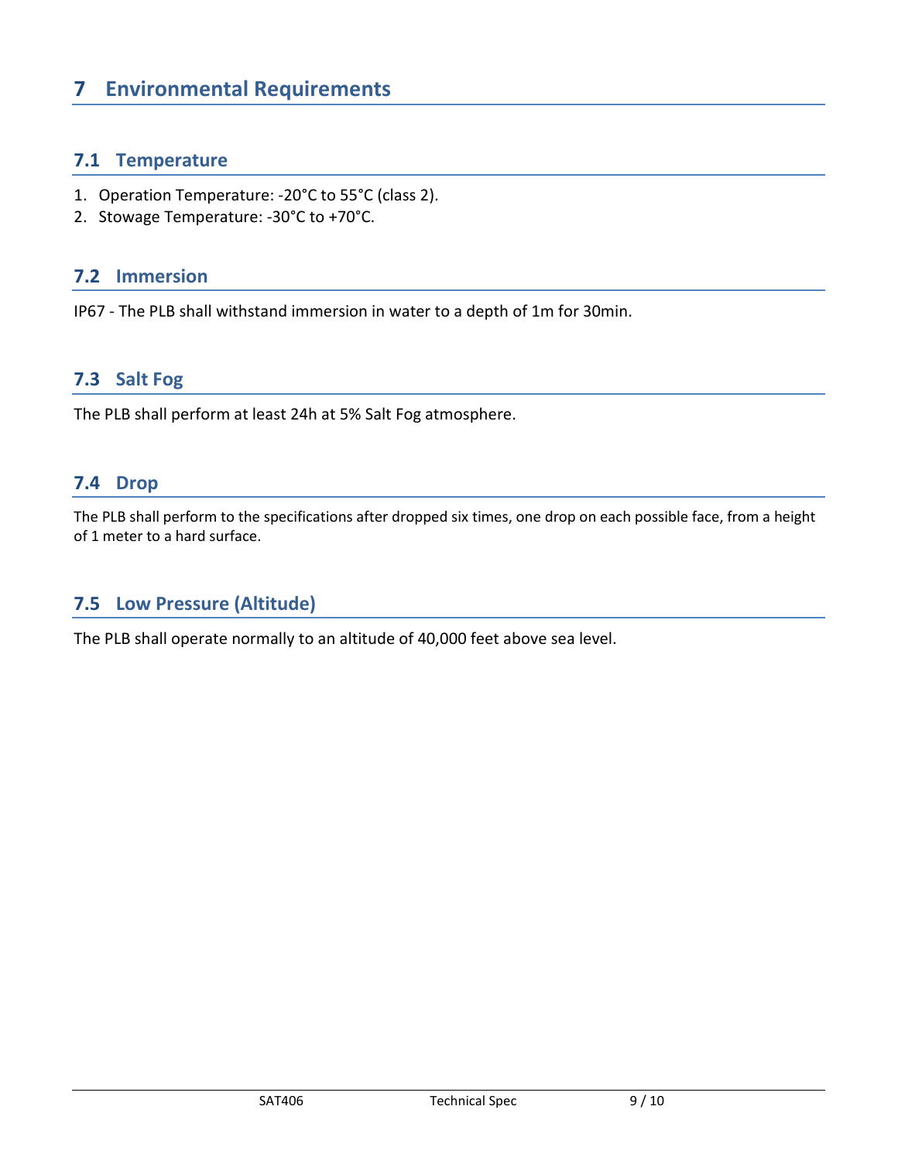### **7 Environmental Requirements**

### **7.1 Temperature**

- 1. Operation Temperature: -20°C to 55°C (class 2).
- 2. Stowage Temperature: -30°C to +70°C.

### **7.2 Immersion**

IP67 - The PLB shall withstand immersion in water to a depth of 1m for 30min.

### **7.3 Salt Fog**

The PLB shall perform at least 24h at 5% Salt Fog atmosphere.

### **7.4 Drop**

The PLB shall perform to the specifications after dropped six times, one drop on each possible face, from a height of 1 meter to a hard surface.

### **7.5 Low Pressure (Altitude)**

The PLB shall operate normally to an altitude of 40,000 feet above sea level.